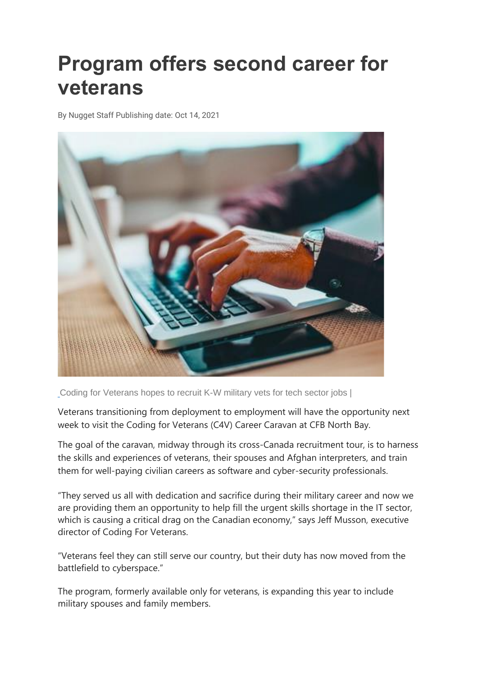## **Program offers second career for veterans**

By Nugget Staff Publishing date: Oct 14, 2021



[Coding for Veterans hopes to recruit K-W military vets for tech sector jobs |](https://www.google.com/url?sa=i&url=https%3A%2F%2Fglobalnews.ca%2Fvideo%2F7411844%2Fonline-coding-course-gives-canadian-veterans-new-employment-opportunities&psig=AOvVaw3l4GIzb4r1Y2g8wbSw3r90&ust=1634810901607000&source=images&cd=vfe&ved=0CAwQjhxqFwoTCNDAidzf2PMCFQAAAAAdAAAAABAD)

Veterans transitioning from deployment to employment will have the opportunity next week to visit the Coding for Veterans (C4V) Career Caravan at CFB North Bay.

The goal of the caravan, midway through its cross-Canada recruitment tour, is to harness the skills and experiences of veterans, their spouses and Afghan interpreters, and train them for well-paying civilian careers as software and cyber-security professionals.

"They served us all with dedication and sacrifice during their military career and now we are providing them an opportunity to help fill the urgent skills shortage in the IT sector, which is causing a critical drag on the Canadian economy," says Jeff Musson, executive director of Coding For Veterans.

"Veterans feel they can still serve our country, but their duty has now moved from the battlefield to cyberspace."

The program, formerly available only for veterans, is expanding this year to include military spouses and family members.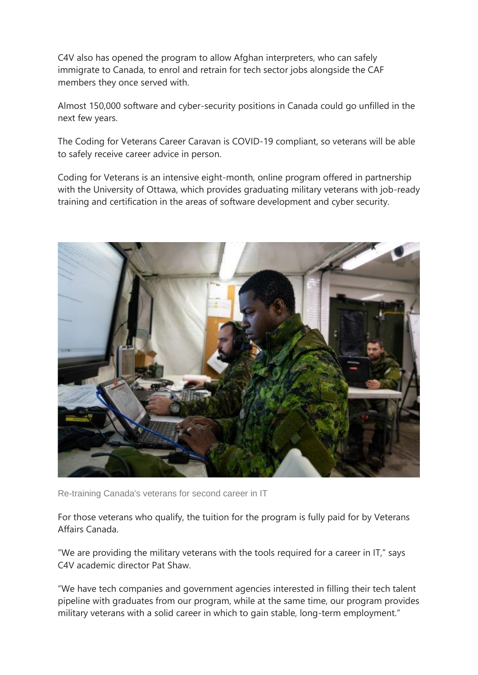C4V also has opened the program to allow Afghan interpreters, who can safely immigrate to Canada, to enrol and retrain for tech sector jobs alongside the CAF members they once served with.

Almost 150,000 software and cyber-security positions in Canada could go unfilled in the next few years.

The Coding for Veterans Career Caravan is COVID-19 compliant, so veterans will be able to safely receive career advice in person.

Coding for Veterans is an intensive eight-month, online program offered in partnership with the University of Ottawa, which provides graduating military veterans with job-ready training and certification in the areas of software development and cyber security.



Re-training Canada's veterans for second career in IT

For those veterans who qualify, the tuition for the program is fully paid for by Veterans Affairs Canada.

"We are providing the military veterans with the tools required for a career in IT," says C4V academic director Pat Shaw.

"We have tech companies and government agencies interested in filling their tech talent pipeline with graduates from our program, while at the same time, our program provides military veterans with a solid career in which to gain stable, long-term employment."